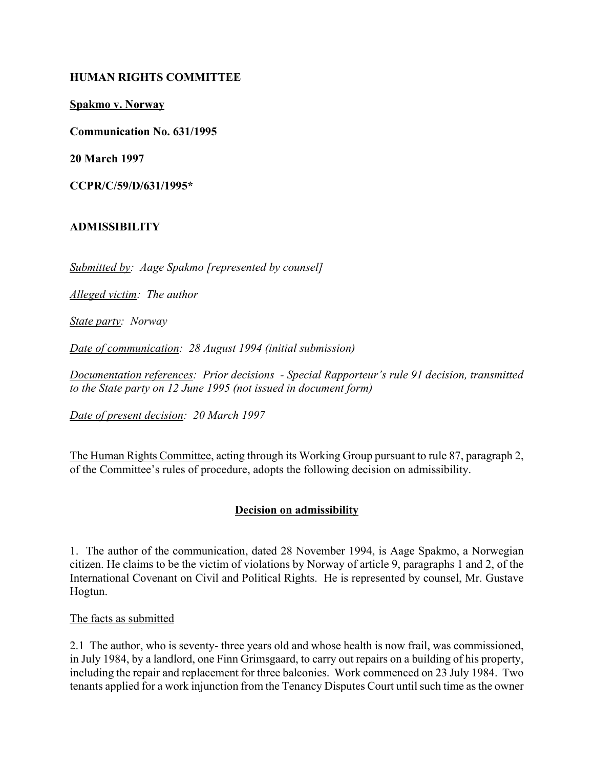## **HUMAN RIGHTS COMMITTEE**

**Spakmo v. Norway**

**Communication No. 631/1995**

**20 March 1997**

**CCPR/C/59/D/631/1995\***

# **ADMISSIBILITY**

*Submitted by: Aage Spakmo [represented by counsel]*

*Alleged victim: The author*

*State party: Norway* 

*Date of communication: 28 August 1994 (initial submission)* 

*Documentation references: Prior decisions - Special Rapporteur's rule 91 decision, transmitted to the State party on 12 June 1995 (not issued in document form)*

*Date of present decision: 20 March 1997*

The Human Rights Committee, acting through its Working Group pursuant to rule 87, paragraph 2, of the Committee's rules of procedure, adopts the following decision on admissibility.

# **Decision on admissibility**

1. The author of the communication, dated 28 November 1994, is Aage Spakmo, a Norwegian citizen. He claims to be the victim of violations by Norway of article 9, paragraphs 1 and 2, of the International Covenant on Civil and Political Rights. He is represented by counsel, Mr. Gustave Hogtun.

### The facts as submitted

2.1 The author, who is seventy- three years old and whose health is now frail, was commissioned, in July 1984, by a landlord, one Finn Grimsgaard, to carry out repairs on a building of his property, including the repair and replacement for three balconies. Work commenced on 23 July 1984. Two tenants applied for a work injunction from the Tenancy Disputes Court until such time as the owner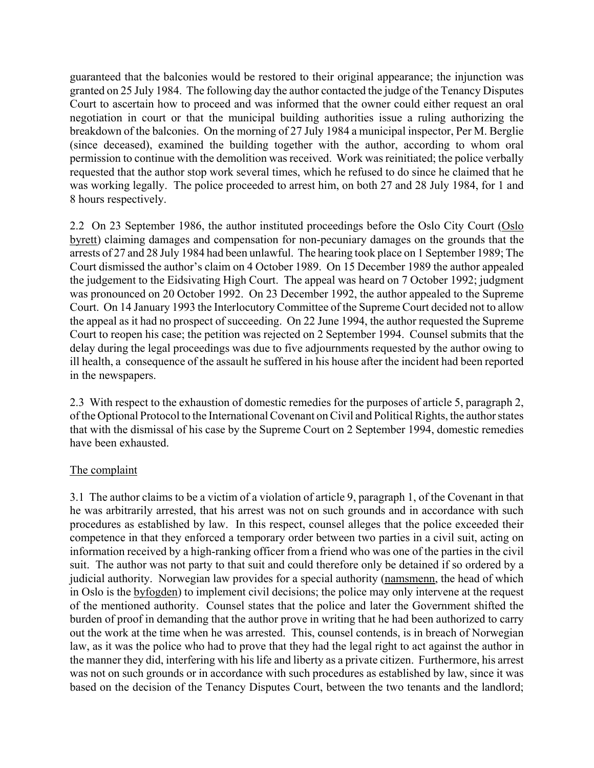guaranteed that the balconies would be restored to their original appearance; the injunction was granted on 25 July 1984. The following day the author contacted the judge of the Tenancy Disputes Court to ascertain how to proceed and was informed that the owner could either request an oral negotiation in court or that the municipal building authorities issue a ruling authorizing the breakdown of the balconies. On the morning of 27 July 1984 a municipal inspector, Per M. Berglie (since deceased), examined the building together with the author, according to whom oral permission to continue with the demolition was received. Work was reinitiated; the police verbally requested that the author stop work several times, which he refused to do since he claimed that he was working legally. The police proceeded to arrest him, on both 27 and 28 July 1984, for 1 and 8 hours respectively.

2.2 On 23 September 1986, the author instituted proceedings before the Oslo City Court (Oslo byrett) claiming damages and compensation for non-pecuniary damages on the grounds that the arrests of 27 and 28 July 1984 had been unlawful. The hearing took place on 1 September 1989; The Court dismissed the author's claim on 4 October 1989. On 15 December 1989 the author appealed the judgement to the Eidsivating High Court. The appeal was heard on 7 October 1992; judgment was pronounced on 20 October 1992. On 23 December 1992, the author appealed to the Supreme Court. On 14 January 1993 the Interlocutory Committee of the Supreme Court decided not to allow the appeal as it had no prospect of succeeding. On 22 June 1994, the author requested the Supreme Court to reopen his case; the petition was rejected on 2 September 1994. Counsel submits that the delay during the legal proceedings was due to five adjournments requested by the author owing to ill health, a consequence of the assault he suffered in his house after the incident had been reported in the newspapers.

2.3 With respect to the exhaustion of domestic remedies for the purposes of article 5, paragraph 2, of the Optional Protocol to the International Covenant on Civil and Political Rights, the author states that with the dismissal of his case by the Supreme Court on 2 September 1994, domestic remedies have been exhausted.

# The complaint

3.1 The author claims to be a victim of a violation of article 9, paragraph 1, of the Covenant in that he was arbitrarily arrested, that his arrest was not on such grounds and in accordance with such procedures as established by law. In this respect, counsel alleges that the police exceeded their competence in that they enforced a temporary order between two parties in a civil suit, acting on information received by a high-ranking officer from a friend who was one of the parties in the civil suit. The author was not party to that suit and could therefore only be detained if so ordered by a judicial authority. Norwegian law provides for a special authority (namsmenn, the head of which in Oslo is the byfogden) to implement civil decisions; the police may only intervene at the request of the mentioned authority. Counsel states that the police and later the Government shifted the burden of proof in demanding that the author prove in writing that he had been authorized to carry out the work at the time when he was arrested. This, counsel contends, is in breach of Norwegian law, as it was the police who had to prove that they had the legal right to act against the author in the manner they did, interfering with his life and liberty as a private citizen. Furthermore, his arrest was not on such grounds or in accordance with such procedures as established by law, since it was based on the decision of the Tenancy Disputes Court, between the two tenants and the landlord;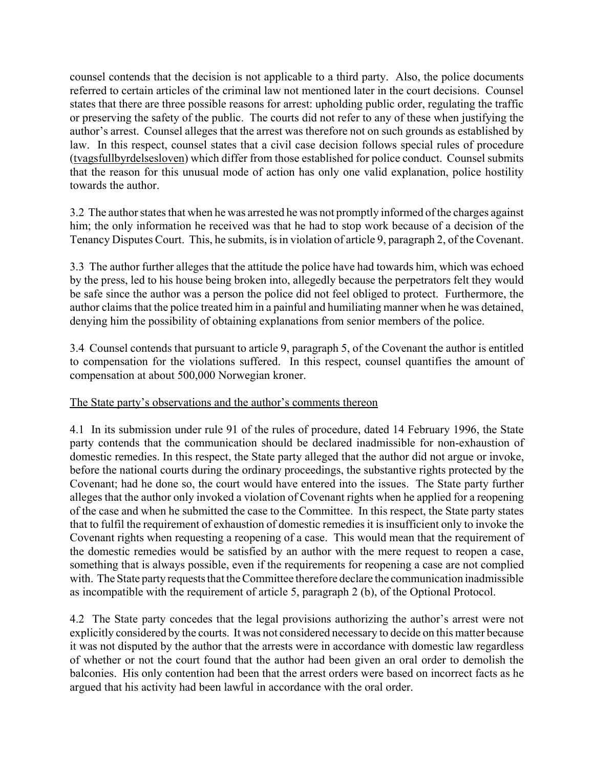counsel contends that the decision is not applicable to a third party. Also, the police documents referred to certain articles of the criminal law not mentioned later in the court decisions. Counsel states that there are three possible reasons for arrest: upholding public order, regulating the traffic or preserving the safety of the public. The courts did not refer to any of these when justifying the author's arrest. Counsel alleges that the arrest was therefore not on such grounds as established by law. In this respect, counsel states that a civil case decision follows special rules of procedure (tvagsfullbyrdelsesloven) which differ from those established for police conduct. Counsel submits that the reason for this unusual mode of action has only one valid explanation, police hostility towards the author.

3.2 The author states that when he was arrested he was not promptly informed of the charges against him; the only information he received was that he had to stop work because of a decision of the Tenancy Disputes Court. This, he submits, is in violation of article 9, paragraph 2, of the Covenant.

3.3 The author further alleges that the attitude the police have had towards him, which was echoed by the press, led to his house being broken into, allegedly because the perpetrators felt they would be safe since the author was a person the police did not feel obliged to protect. Furthermore, the author claims that the police treated him in a painful and humiliating manner when he was detained, denying him the possibility of obtaining explanations from senior members of the police.

3.4 Counsel contends that pursuant to article 9, paragraph 5, of the Covenant the author is entitled to compensation for the violations suffered. In this respect, counsel quantifies the amount of compensation at about 500,000 Norwegian kroner.

# The State party's observations and the author's comments thereon

4.1 In its submission under rule 91 of the rules of procedure, dated 14 February 1996, the State party contends that the communication should be declared inadmissible for non-exhaustion of domestic remedies. In this respect, the State party alleged that the author did not argue or invoke, before the national courts during the ordinary proceedings, the substantive rights protected by the Covenant; had he done so, the court would have entered into the issues. The State party further alleges that the author only invoked a violation of Covenant rights when he applied for a reopening of the case and when he submitted the case to the Committee. In this respect, the State party states that to fulfil the requirement of exhaustion of domestic remedies it is insufficient only to invoke the Covenant rights when requesting a reopening of a case. This would mean that the requirement of the domestic remedies would be satisfied by an author with the mere request to reopen a case, something that is always possible, even if the requirements for reopening a case are not complied with. The State party requests that the Committee therefore declare the communication inadmissible as incompatible with the requirement of article 5, paragraph 2 (b), of the Optional Protocol.

4.2 The State party concedes that the legal provisions authorizing the author's arrest were not explicitly considered by the courts. It was not considered necessary to decide on this matter because it was not disputed by the author that the arrests were in accordance with domestic law regardless of whether or not the court found that the author had been given an oral order to demolish the balconies. His only contention had been that the arrest orders were based on incorrect facts as he argued that his activity had been lawful in accordance with the oral order.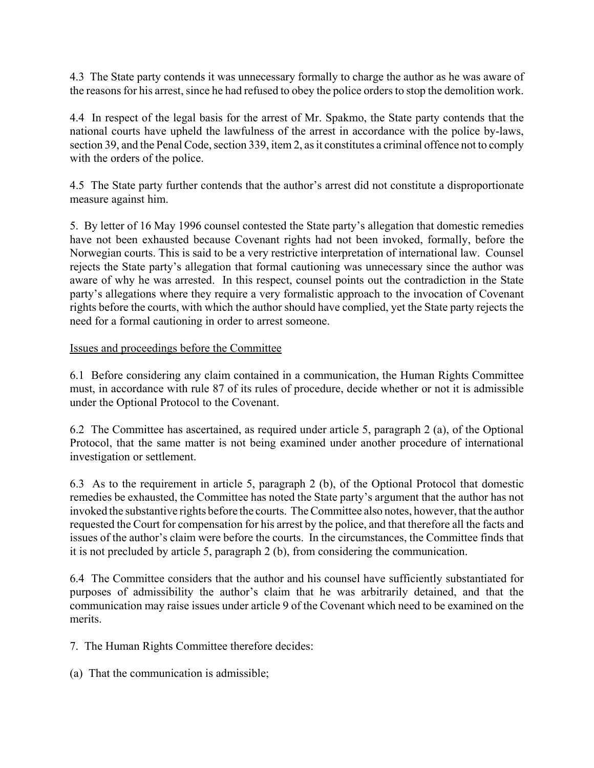4.3 The State party contends it was unnecessary formally to charge the author as he was aware of the reasons for his arrest, since he had refused to obey the police orders to stop the demolition work.

4.4 In respect of the legal basis for the arrest of Mr. Spakmo, the State party contends that the national courts have upheld the lawfulness of the arrest in accordance with the police by-laws, section 39, and the Penal Code, section 339, item 2, as it constitutes a criminal offence not to comply with the orders of the police.

4.5 The State party further contends that the author's arrest did not constitute a disproportionate measure against him.

5. By letter of 16 May 1996 counsel contested the State party's allegation that domestic remedies have not been exhausted because Covenant rights had not been invoked, formally, before the Norwegian courts. This is said to be a very restrictive interpretation of international law. Counsel rejects the State party's allegation that formal cautioning was unnecessary since the author was aware of why he was arrested. In this respect, counsel points out the contradiction in the State party's allegations where they require a very formalistic approach to the invocation of Covenant rights before the courts, with which the author should have complied, yet the State party rejects the need for a formal cautioning in order to arrest someone.

# Issues and proceedings before the Committee

6.1 Before considering any claim contained in a communication, the Human Rights Committee must, in accordance with rule 87 of its rules of procedure, decide whether or not it is admissible under the Optional Protocol to the Covenant.

6.2 The Committee has ascertained, as required under article 5, paragraph 2 (a), of the Optional Protocol, that the same matter is not being examined under another procedure of international investigation or settlement.

6.3 As to the requirement in article 5, paragraph 2 (b), of the Optional Protocol that domestic remedies be exhausted, the Committee has noted the State party's argument that the author has not invoked the substantive rights before the courts. The Committee also notes, however, that the author requested the Court for compensation for his arrest by the police, and that therefore all the facts and issues of the author's claim were before the courts. In the circumstances, the Committee finds that it is not precluded by article 5, paragraph 2 (b), from considering the communication.

6.4 The Committee considers that the author and his counsel have sufficiently substantiated for purposes of admissibility the author's claim that he was arbitrarily detained, and that the communication may raise issues under article 9 of the Covenant which need to be examined on the merits.

7. The Human Rights Committee therefore decides:

(a) That the communication is admissible;